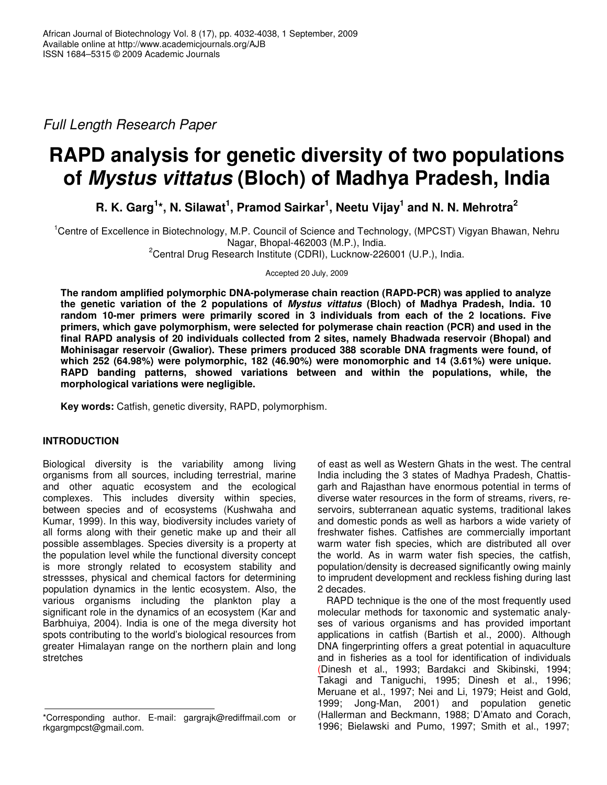*Full Length Research Paper*

# **RAPD analysis for genetic diversity of two populations of** *Mystus vittatus* **(Bloch) of Madhya Pradesh, India**

R. K. Garg<sup>1\*</sup>, N. Silawat<sup>1</sup>, Pramod Sairkar<sup>1</sup>, Neetu Vijay<sup>1</sup> and N. N. Mehrotra<sup>2</sup>

<sup>1</sup>Centre of Excellence in Biotechnology, M.P. Council of Science and Technology, (MPCST) Vigyan Bhawan, Nehru Nagar, Bhopal-462003 (M.P.), India.

<sup>2</sup>Central Drug Research Institute (CDRI), Lucknow-226001 (U.P.), India.

Accepted 20 July, 2009

**The random amplified polymorphic DNA-polymerase chain reaction (RAPD-PCR) was applied to analyze the genetic variation of the 2 populations of** *Mystus vittatus* **(Bloch) of Madhya Pradesh, India. 10 random 10-mer primers were primarily scored in 3 individuals from each of the 2 locations. Five primers, which gave polymorphism, were selected for polymerase chain reaction (PCR) and used in the final RAPD analysis of 20 individuals collected from 2 sites, namely Bhadwada reservoir (Bhopal) and Mohinisagar reservoir (Gwalior). These primers produced 388 scorable DNA fragments were found, of which 252 (64.98%) were polymorphic, 182 (46.90%) were monomorphic and 14 (3.61%) were unique. RAPD banding patterns, showed variations between and within the populations, while, the morphological variations were negligible.**

**Key words:** Catfish, genetic diversity, RAPD, polymorphism.

# **INTRODUCTION**

Biological diversity is the variability among living organisms from all sources, including terrestrial, marine and other aquatic ecosystem and the ecological complexes. This includes diversity within species, between species and of ecosystems (Kushwaha and Kumar, 1999). In this way, biodiversity includes variety of all forms along with their genetic make up and their all possible assemblages. Species diversity is a property at the population level while the functional diversity concept is more strongly related to ecosystem stability and stressses, physical and chemical factors for determining population dynamics in the lentic ecosystem. Also, the various organisms including the plankton play a significant role in the dynamics of an ecosystem (Kar and Barbhuiya, 2004). India is one of the mega diversity hot spots contributing to the world's biological resources from greater Himalayan range on the northern plain and long stretches

of east as well as Western Ghats in the west. The central India including the 3 states of Madhya Pradesh, Chattisgarh and Rajasthan have enormous potential in terms of diverse water resources in the form of streams, rivers, reservoirs, subterranean aquatic systems, traditional lakes and domestic ponds as well as harbors a wide variety of freshwater fishes. Catfishes are commercially important warm water fish species, which are distributed all over the world. As in warm water fish species, the catfish, population/density is decreased significantly owing mainly to imprudent development and reckless fishing during last 2 decades.

RAPD technique is the one of the most frequently used molecular methods for taxonomic and systematic analyses of various organisms and has provided important applications in catfish (Bartish et al., 2000). Although DNA fingerprinting offers a great potential in aquaculture and in fisheries as a tool for identification of individuals (Dinesh et al., 1993; Bardakci and Skibinski, 1994; Takagi and Taniguchi, 1995; Dinesh et al., 1996; Meruane et al., 1997; Nei and Li, 1979; Heist and Gold, 1999; Jong-Man, 2001) and population genetic (Hallerman and Beckmann, 1988; D'Amato and Corach, 1996; Bielawski and Pumo, 1997; Smith et al., 1997;

<sup>\*</sup>Corresponding author. E-mail: gargrajk@rediffmail.com or rkgargmpcst@gmail.com.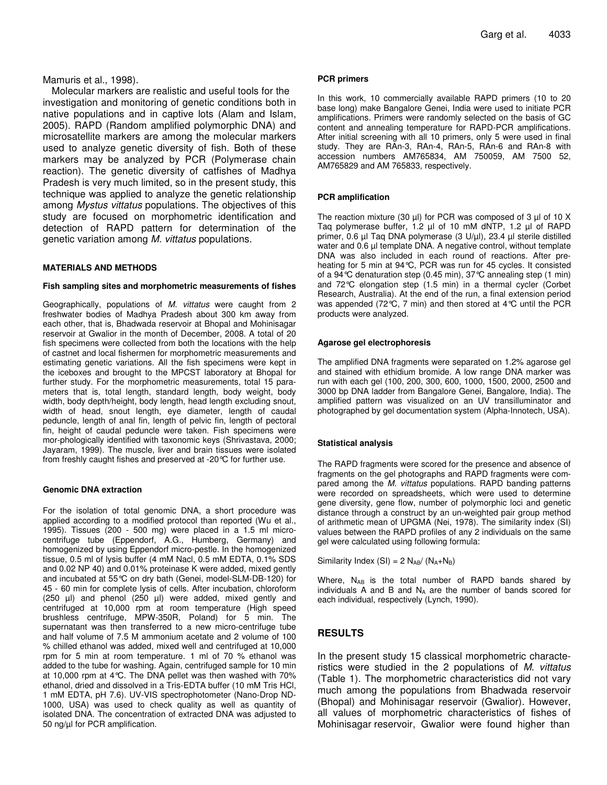## Mamuris et al., 1998).

Molecular markers are realistic and useful tools for the investigation and monitoring of genetic conditions both in native populations and in captive lots (Alam and Islam, 2005). RAPD (Random amplified polymorphic DNA) and microsatellite markers are among the molecular markers used to analyze genetic diversity of fish. Both of these markers may be analyzed by PCR (Polymerase chain reaction). The genetic diversity of catfishes of Madhya Pradesh is very much limited, so in the present study, this technique was applied to analyze the genetic relationship among *Mystus vittatus* populations. The objectives of this study are focused on morphometric identification and detection of RAPD pattern for determination of the genetic variation among *M. vittatus* populations.

## **MATERIALS AND METHODS**

#### **Fish sampling sites and morphometric measurements of fishes**

Geographically, populations of *M. vittatus* were caught from 2 freshwater bodies of Madhya Pradesh about 300 km away from each other, that is, Bhadwada reservoir at Bhopal and Mohinisagar reservoir at Gwalior in the month of December, 2008. A total of 20 fish specimens were collected from both the locations with the help of castnet and local fishermen for morphometric measurements and estimating genetic variations. All the fish specimens were kept in the iceboxes and brought to the MPCST laboratory at Bhopal for further study. For the morphometric measurements, total 15 parameters that is, total length, standard length, body weight, body width, body depth/height, body length, head length excluding snout, width of head, snout length, eye diameter, length of caudal peduncle, length of anal fin, length of pelvic fin, length of pectoral fin, height of caudal peduncle were taken. Fish specimens were mor-phologically identified with taxonomic keys (Shrivastava, 2000; Jayaram, 1999). The muscle, liver and brain tissues were isolated from freshly caught fishes and preserved at -20°C for further use.

#### **Genomic DNA extraction**

For the isolation of total genomic DNA, a short procedure was applied according to a modified protocol than reported (Wu et al., 1995). Tissues (200 - 500 mg) were placed in a 1.5 ml microcentrifuge tube (Eppendorf, A.G., Humberg, Germany) and homogenized by using Eppendorf micro-pestle. In the homogenized tissue, 0.5 ml of lysis buffer (4 mM Nacl, 0.5 mM EDTA, 0.1% SDS and 0.02 NP 40) and 0.01% proteinase K were added, mixed gently and incubated at 55°C on dry bath (Genei, model-SLM-DB-120) for 45 - 60 min for complete lysis of cells. After incubation, chloroform (250 µl) and phenol (250 µl) were added, mixed gently and centrifuged at 10,000 rpm at room temperature (High speed brushless centrifuge, MPW-350R, Poland) for 5 min. The supernatant was then transferred to a new micro-centrifuge tube and half volume of 7.5 M ammonium acetate and 2 volume of 100 % chilled ethanol was added, mixed well and centrifuged at 10,000 rpm for 5 min at room temperature. 1 ml of 70 % ethanol was added to the tube for washing. Again, centrifuged sample for 10 min at 10,000 rpm at 4°C. The DNA pellet was then washed with 70% ethanol, dried and dissolved in a Tris-EDTA buffer (10 mM Tris HCl, 1 mM EDTA, pH 7.6). UV-VIS spectrophotometer (Nano-Drop ND-1000, USA) was used to check quality as well as quantity of isolated DNA. The concentration of extracted DNA was adjusted to 50 ng/µl for PCR amplification.

#### **PCR primers**

In this work, 10 commercially available RAPD primers (10 to 20 base long) make Bangalore Genei, India were used to initiate PCR amplifications. Primers were randomly selected on the basis of GC content and annealing temperature for RAPD-PCR amplifications. After initial screening with all 10 primers, only 5 were used in final study. They are RAn-3, RAn-4, RAn-5, RAn-6 and RAn-8 with accession numbers AM765834, AM 750059, AM 7500 52, AM765829 and AM 765833, respectively.

#### **PCR amplification**

The reaction mixture (30  $\mu$ I) for PCR was composed of 3  $\mu$ I of 10 X Taq polymerase buffer, 1.2 µl of 10 mM dNTP, 1.2 µl of RAPD primer, 0.6 µl Taq DNA polymerase (3 U/µl), 23.4 µl sterile distilled water and 0.6 µl template DNA. A negative control, without template DNA was also included in each round of reactions. After preheating for 5 min at 94°C, PCR was run for 45 cycles. It consisted of a 94°C denaturation step (0.45 min), 37°C annealing step (1 min) and 72°C elongation step (1.5 min) in a thermal cycler (Corbet Research, Australia). At the end of the run, a final extension period was appended (72°C, 7 min) and then stored at 4°C until the PCR products were analyzed.

#### **Agarose gel electrophoresis**

The amplified DNA fragments were separated on 1.2% agarose gel and stained with ethidium bromide. A low range DNA marker was run with each gel (100, 200, 300, 600, 1000, 1500, 2000, 2500 and 3000 bp DNA ladder from Bangalore Genei, Bangalore, India). The amplified pattern was visualized on an UV transilluminator and photographed by gel documentation system (Alpha-Innotech, USA).

#### **Statistical analysis**

The RAPD fragments were scored for the presence and absence of fragments on the gel photographs and RAPD fragments were compared among the *M. vittatus* populations. RAPD banding patterns were recorded on spreadsheets, which were used to determine gene diversity, gene flow, number of polymorphic loci and genetic distance through a construct by an un-weighted pair group method of arithmetic mean of UPGMA (Nei, 1978). The similarity index (SI) values between the RAPD profiles of any 2 individuals on the same gel were calculated using following formula:

Similarity Index (SI) =  $2 N_{AB}/ (N_A + N_B)$ 

Where,  $N_{AB}$  is the total number of RAPD bands shared by individuals A and B and  $N_A$  are the number of bands scored for each individual, respectively (Lynch, 1990).

# **RESULTS**

In the present study 15 classical morphometric characteristics were studied in the 2 populations of *M. vittatus* (Table 1). The morphometric characteristics did not vary much among the populations from Bhadwada reservoir (Bhopal) and Mohinisagar reservoir (Gwalior). However, all values of morphometric characteristics of fishes of Mohinisagar reservoir, Gwalior were found higher than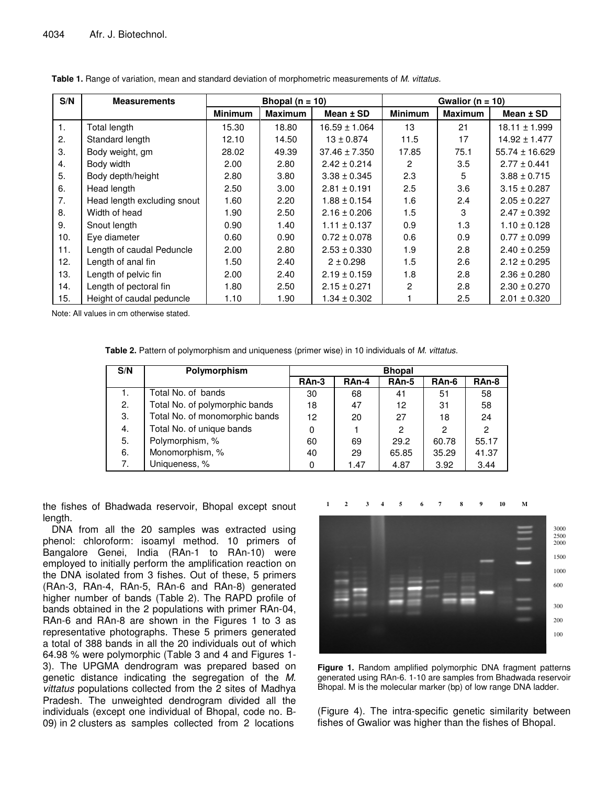| S/N | <b>Measurements</b>         | Bhopal ( $n = 10$ ) |                |                   | Gwalior ( $n = 10$ ) |                |                    |  |
|-----|-----------------------------|---------------------|----------------|-------------------|----------------------|----------------|--------------------|--|
|     |                             | <b>Minimum</b>      | <b>Maximum</b> | Mean $±$ SD       | <b>Minimum</b>       | <b>Maximum</b> | Mean $±$ SD        |  |
| 1.  | Total length                | 15.30               | 18.80          | $16.59 \pm 1.064$ | 13                   | 21             | $18.11 \pm 1.999$  |  |
| 2.  | Standard length             | 12.10               | 14.50          | $13 \pm 0.874$    | 11.5                 | 17             | $14.92 \pm 1.477$  |  |
| 3.  | Body weight, gm             | 28.02               | 49.39          | $37.46 \pm 7.350$ | 17.85                | 75.1           | $55.74 \pm 16.629$ |  |
| 4.  | Body width                  | 2.00                | 2.80           | $2.42 \pm 0.214$  | 2                    | 3.5            | $2.77 \pm 0.441$   |  |
| 5.  | Body depth/height           | 2.80                | 3.80           | $3.38 \pm 0.345$  | 2.3                  | 5              | $3.88 \pm 0.715$   |  |
| 6.  | Head length                 | 2.50                | 3.00           | $2.81 \pm 0.191$  | 2.5                  | 3.6            | $3.15 \pm 0.287$   |  |
| 7.  | Head length excluding snout | 1.60                | 2.20           | $1.88 \pm 0.154$  | 1.6                  | 2.4            | $2.05 \pm 0.227$   |  |
| 8.  | Width of head               | 1.90                | 2.50           | $2.16 \pm 0.206$  | 1.5                  | 3              | $2.47 \pm 0.392$   |  |
| 9.  | Snout length                | 0.90                | 1.40           | $1.11 \pm 0.137$  | 0.9                  | 1.3            | $1.10 \pm 0.128$   |  |
| 10. | Eye diameter                | 0.60                | 0.90           | $0.72 \pm 0.078$  | 0.6                  | 0.9            | $0.77 \pm 0.099$   |  |
| 11. | Length of caudal Peduncle   | 2.00                | 2.80           | $2.53 \pm 0.330$  | 1.9                  | 2.8            | $2.40 \pm 0.259$   |  |
| 12. | Length of anal fin          | 1.50                | 2.40           | $2 \pm 0.298$     | 1.5                  | 2.6            | $2.12 \pm 0.295$   |  |
| 13. | Length of pelvic fin        | 2.00                | 2.40           | $2.19 \pm 0.159$  | 1.8                  | 2.8            | $2.36 \pm 0.280$   |  |
| 14. | Length of pectoral fin      | 1.80                | 2.50           | $2.15 \pm 0.271$  | 2                    | 2.8            | $2.30 \pm 0.270$   |  |
| 15. | Height of caudal peduncle   | 1.10                | 1.90           | $1.34 \pm 0.302$  |                      | 2.5            | $2.01 \pm 0.320$   |  |

| Table 1. Range of variation, mean and standard deviation of morphometric measurements of M. vittatus. |  |
|-------------------------------------------------------------------------------------------------------|--|
|-------------------------------------------------------------------------------------------------------|--|

Note: All values in cm otherwise stated.

**Table 2.** Pattern of polymorphism and uniqueness (primer wise) in 10 individuals of *M. vittatus.*

| S/N | Polymorphism                   | <b>Bhopal</b> |       |       |       |       |
|-----|--------------------------------|---------------|-------|-------|-------|-------|
|     |                                | RAn-3         | RAn-4 | RAn-5 | RAn-6 | RAn-8 |
| Ι.  | Total No. of bands             | 30            | 68    | 41    | 51    | 58    |
| 2.  | Total No. of polymorphic bands | 18            | 47    | 12    | 31    | 58    |
| 3.  | Total No. of monomorphic bands | 12            | 20    | 27    | 18    | 24    |
| 4.  | Total No. of unique bands      | 0             |       | 2     | 2     | 2     |
| 5.  | Polymorphism, %                | 60            | 69    | 29.2  | 60.78 | 55.17 |
| 6.  | Monomorphism, %                | 40            | 29    | 65.85 | 35.29 | 41.37 |
| 7.  | Uniqueness, %                  | 0             | 1.47  | 4.87  | 3.92  | 3.44  |

the fishes of Bhadwada reservoir, Bhopal except snout length.

DNA from all the 20 samples was extracted using phenol: chloroform: isoamyl method. 10 primers of Bangalore Genei, India (RAn-1 to RAn-10) were employed to initially perform the amplification reaction on the DNA isolated from 3 fishes. Out of these, 5 primers (RAn-3, RAn-4, RAn-5, RAn-6 and RAn-8) generated higher number of bands (Table 2). The RAPD profile of bands obtained in the 2 populations with primer RAn-04, RAn-6 and RAn-8 are shown in the Figures 1 to 3 as representative photographs. These 5 primers generated a total of 388 bands in all the 20 individuals out of which 64.98 % were polymorphic (Table 3 and 4 and Figures 1- 3). The UPGMA dendrogram was prepared based on genetic distance indicating the segregation of the *M. vittatus* populations collected from the 2 sites of Madhya Pradesh. The unweighted dendrogram divided all the individuals (except one individual of Bhopal, code no. B-09) in 2 clusters as samples collected from 2 locations



**Figure 1.** Random amplified polymorphic DNA fragment patterns generated using RAn-6. 1-10 are samples from Bhadwada reservoir Bhopal. M is the molecular marker (bp) of low range DNA ladder.

(Figure 4). The intra-specific genetic similarity between fishes of Gwalior was higher than the fishes of Bhopal.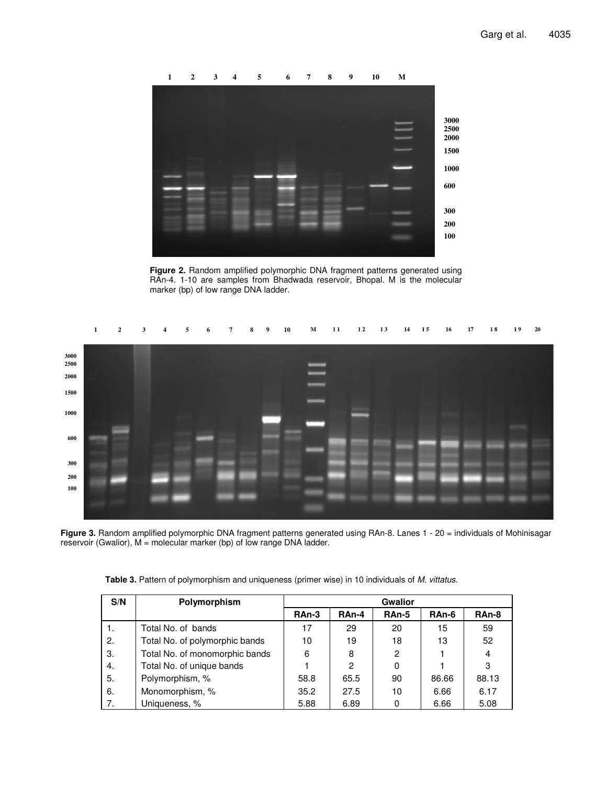

**Figure 2.** Random amplified polymorphic DNA fragment patterns generated using RAn-4. 1-10 are samples from Bhadwada reservoir, Bhopal. M is the molecular marker (bp) of low range DNA ladder.



**Figure 3.** Random amplified polymorphic DNA fragment patterns generated using RAn-8. Lanes 1 - 20 = individuals of Mohinisagar reservoir (Gwalior), M = molecular marker (bp) of low range DNA ladder.

| S/N | Polymorphism                   | <b>Gwalior</b> |       |       |       |       |
|-----|--------------------------------|----------------|-------|-------|-------|-------|
|     |                                | RAn-3          | RAn-4 | RAn-5 | RAn-6 | RAn-8 |
| -1. | Total No. of bands             | 17             | 29    | 20    | 15    | 59    |
| 2.  | Total No. of polymorphic bands | 10             | 19    | 18    | 13    | 52    |
| 3.  | Total No. of monomorphic bands | 6              | 8     | 2     |       | 4     |
| 4.  | Total No. of unique bands      |                | 2     | 0     |       | 3     |
| 5.  | Polymorphism, %                | 58.8           | 65.5  | 90    | 86.66 | 88.13 |
| 6.  | Monomorphism, %                | 35.2           | 27.5  | 10    | 6.66  | 6.17  |
| 7.  | Uniqueness, %                  | 5.88           | 6.89  | 0     | 6.66  | 5.08  |

**Table 3.** Pattern of polymorphism and uniqueness (primer wise) in 10 individuals of *M. vittatus.*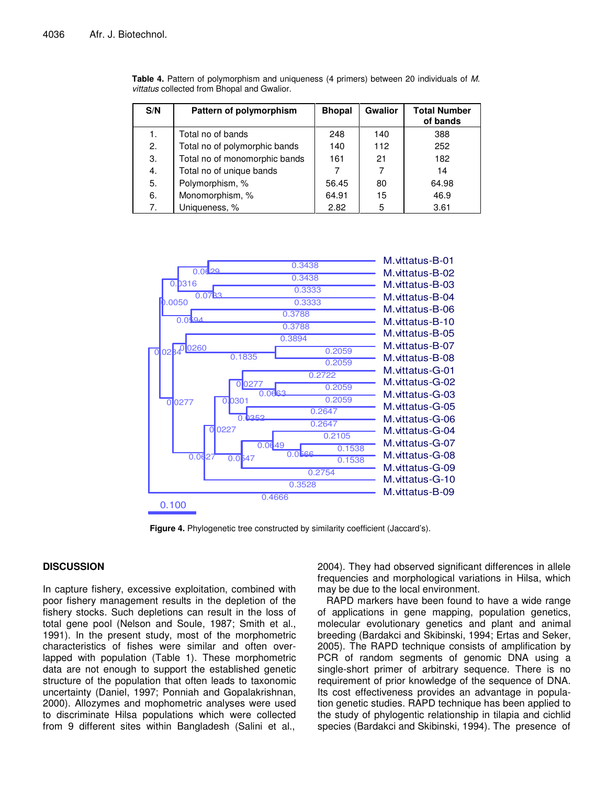| S/N | Pattern of polymorphism       | <b>Bhopal</b> | <b>Gwalior</b> | <b>Total Number</b><br>of bands |
|-----|-------------------------------|---------------|----------------|---------------------------------|
|     | Total no of bands             | 248           | 140            | 388                             |
| 2.  | Total no of polymorphic bands | 140           | 112            | 252                             |
| 3.  | Total no of monomorphic bands | 161           | 21             | 182                             |
| 4.  | Total no of unique bands      |               |                | 14                              |
| 5.  | Polymorphism, %               | 56.45         | 80             | 64.98                           |
| 6.  | Monomorphism, %               | 64.91         | 15             | 46.9                            |
| 7.  | Uniqueness, %                 | 2.82          | 5              | 3.61                            |

**Table 4.** Pattern of polymorphism and uniqueness (4 primers) between 20 individuals of *M. vittatus* collected from Bhopal and Gwalior.



**Figure 4.** Phylogenetic tree constructed by similarity coefficient (Jaccard's).

# **DISCUSSION**

In capture fishery, excessive exploitation, combined with poor fishery management results in the depletion of the fishery stocks. Such depletions can result in the loss of total gene pool (Nelson and Soule, 1987; Smith et al., 1991). In the present study, most of the morphometric characteristics of fishes were similar and often overlapped with population (Table 1). These morphometric data are not enough to support the established genetic structure of the population that often leads to taxonomic uncertainty (Daniel, 1997; Ponniah and Gopalakrishnan, 2000). Allozymes and mophometric analyses were used to discriminate Hilsa populations which were collected from 9 different sites within Bangladesh (Salini et al., 2004). They had observed significant differences in allele frequencies and morphological variations in Hilsa, which may be due to the local environment.

RAPD markers have been found to have a wide range of applications in gene mapping, population genetics, molecular evolutionary genetics and plant and animal breeding (Bardakci and Skibinski, 1994; Ertas and Seker, 2005). The RAPD technique consists of amplification by PCR of random segments of genomic DNA using a single-short primer of arbitrary sequence. There is no requirement of prior knowledge of the sequence of DNA. Its cost effectiveness provides an advantage in population genetic studies. RAPD technique has been applied to the study of phylogentic relationship in tilapia and cichlid species (Bardakci and Skibinski, 1994). The presence of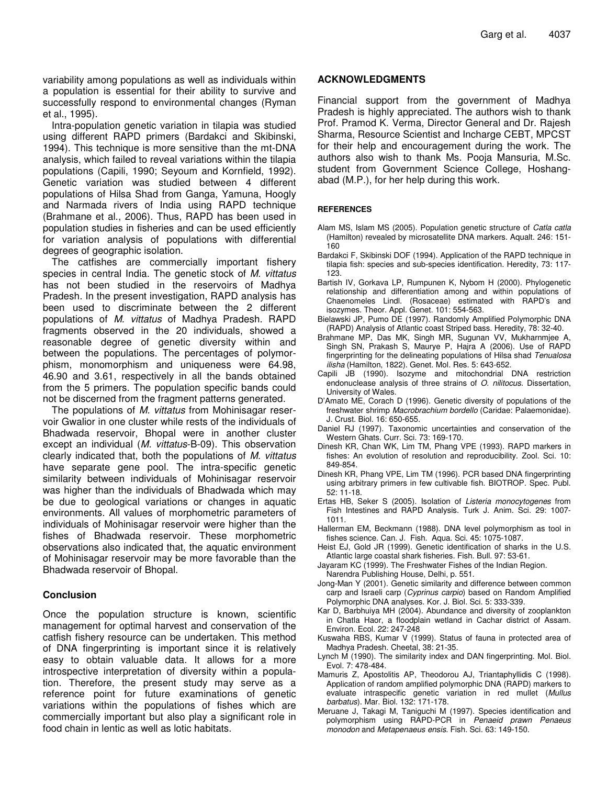variability among populations as well as individuals within a population is essential for their ability to survive and successfully respond to environmental changes (Ryman et al., 1995).

Intra-population genetic variation in tilapia was studied using different RAPD primers (Bardakci and Skibinski, 1994). This technique is more sensitive than the mt-DNA analysis, which failed to reveal variations within the tilapia populations (Capili, 1990; Seyoum and Kornfield, 1992). Genetic variation was studied between 4 different populations of Hilsa Shad from Ganga, Yamuna, Hoogly and Narmada rivers of India using RAPD technique (Brahmane et al., 2006). Thus, RAPD has been used in population studies in fisheries and can be used efficiently for variation analysis of populations with differential degrees of geographic isolation.

The catfishes are commercially important fishery species in central India. The genetic stock of *M. vittatus* has not been studied in the reservoirs of Madhya Pradesh. In the present investigation, RAPD analysis has been used to discriminate between the 2 different populations of *M. vittatus* of Madhya Pradesh. RAPD fragments observed in the 20 individuals, showed a reasonable degree of genetic diversity within and between the populations. The percentages of polymorphism, monomorphism and uniqueness were 64.98, 46.90 and 3.61, respectively in all the bands obtained from the 5 primers. The population specific bands could not be discerned from the fragment patterns generated.

The populations of *M. vittatus* from Mohinisagar reservoir Gwalior in one cluster while rests of the individuals of Bhadwada reservoir, Bhopal were in another cluster except an individual (*M. vittatus*-B-09). This observation clearly indicated that, both the populations of *M. vittatus* have separate gene pool. The intra-specific genetic similarity between individuals of Mohinisagar reservoir was higher than the individuals of Bhadwada which may be due to geological variations or changes in aquatic environments. All values of morphometric parameters of individuals of Mohinisagar reservoir were higher than the fishes of Bhadwada reservoir. These morphometric observations also indicated that, the aquatic environment of Mohinisagar reservoir may be more favorable than the Bhadwada reservoir of Bhopal.

# **Conclusion**

Once the population structure is known, scientific management for optimal harvest and conservation of the catfish fishery resource can be undertaken. This method of DNA fingerprinting is important since it is relatively easy to obtain valuable data. It allows for a more introspective interpretation of diversity within a population. Therefore, the present study may serve as a reference point for future examinations of genetic variations within the populations of fishes which are commercially important but also play a significant role in food chain in lentic as well as lotic habitats.

## **ACKNOWLEDGMENTS**

Financial support from the government of Madhya Pradesh is highly appreciated. The authors wish to thank Prof. Pramod K. Verma, Director General and Dr. Rajesh Sharma, Resource Scientist and Incharge CEBT, MPCST for their help and encouragement during the work. The authors also wish to thank Ms. Pooja Mansuria, M.Sc. student from Government Science College, Hoshangabad (M.P.), for her help during this work.

## **REFERENCES**

- Alam MS, Islam MS (2005). Population genetic structure of *Catla catla* (Hamilton) revealed by microsatellite DNA markers. Aqualt. 246: 151- 160
- Bardakci F, Skibinski DOF (1994). Application of the RAPD technique in tilapia fish: species and sub-species identification. Heredity, 73: 117- 123.
- Bartish IV, Gorkava LP, Rumpunen K, Nybom H (2000). Phylogenetic relationship and differentiation among and within populations of Chaenomeles Lindl. (Rosaceae) estimated with RAPD's and isozymes. Theor. Appl. Genet. 101: 554-563.
- Bielawski JP, Pumo DE (1997). Randomly Amplified Polymorphic DNA (RAPD) Analysis of Atlantic coast Striped bass. Heredity, 78: 32-40.
- Brahmane MP, Das MK, Singh MR, Sugunan VV, Mukharnmjee A, Singh SN, Prakash S, Maurye P, Hajra A (2006). Use of RAPD fingerprinting for the delineating populations of Hilsa shad *Tenualosa ilisha* (Hamilton, 1822). Genet. Mol. Res. 5: 643-652.
- Capili JB (1990). Isozyme and mitochondrial DNA restriction endonuclease analysis of three strains of *O. nilitocus.* Dissertation, University of Wales.
- D'Amato ME, Corach D (1996). Genetic diversity of populations of the freshwater shrimp *Macrobrachium bordello* (Caridae: Palaemonidae). J. Crust. Biol. 16: 650-655.
- Daniel RJ (1997). Taxonomic uncertainties and conservation of the Western Ghats. Curr. Sci. 73: 169-170.
- Dinesh KR, Chan WK, Lim TM, Phang VPE (1993). RAPD markers in fishes: An evolution of resolution and reproducibility. Zool. Sci. 10: 849-854.
- Dinesh KR, Phang VPE, Lim TM (1996). PCR based DNA fingerprinting using arbitrary primers in few cultivable fish. BIOTROP. Spec. Publ. 52: 11-18.
- Ertas HB, Seker S (2005). Isolation of *Listeria monocytogenes* from Fish Intestines and RAPD Analysis. Turk J. Anim. Sci. 29: 1007- 1011.
- Hallerman EM, Beckmann (1988). DNA level polymorphism as tool in fishes science. Can. J. Fish. Aqua. Sci. 45: 1075-1087.
- Heist EJ, Gold JR (1999). Genetic identification of sharks in the U.S. Atlantic large coastal shark fisheries. Fish. Bull. 97: 53-61.
- Jayaram KC (1999). The Freshwater Fishes of the Indian Region. Narendra Publishing House, Delhi, p. 551.
- Jong-Man Y (2001). Genetic similarity and difference between common carp and Israeli carp (*Cyprinus carpio*) based on Random Amplified Polymorphic DNA analyses. Kor. J. Biol. Sci. 5: 333-339.
- Kar D, Barbhuiya MH (2004). Abundance and diversity of zooplankton in Chatla Haor, a floodplain wetland in Cachar district of Assam. Environ. Ecol. 22: 247-248
- Kuswaha RBS, Kumar V (1999). Status of fauna in protected area of Madhya Pradesh. Cheetal, 38: 21-35.
- Lynch M (1990). The similarity index and DAN fingerprinting. Mol. Biol. Evol. 7: 478-484.
- Mamuris Z, Apostolitis AP, Theodorou AJ, Triantaphyllidis C (1998). Application of random amplified polymorphic DNA (RAPD) markers to evaluate intraspecific genetic variation in red mullet (*Mullus barbatus*). Mar. Biol. 132: 171-178.
- Meruane J, Takagi M, Taniguchi M (1997). Species identification and polymorphism using RAPD-PCR in *Penaeid prawn Penaeus monodon* and *Metapenaeus ensis*. Fish. Sci. 63: 149-150.